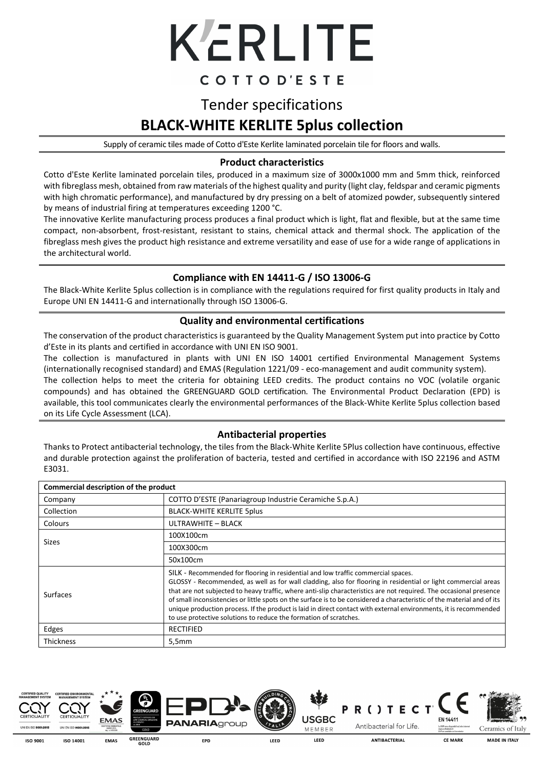

# COTTOD'ESTE

# Tender specifications **BLACK-WHITE KERLITE 5plus collection**

Supply of ceramic tiles made of Cotto d'Este Kerlite laminated porcelain tile for floors and walls.

## **Product characteristics**

Cotto d'Este Kerlite laminated porcelain tiles, produced in a maximum size of 3000x1000 mm and 5mm thick, reinforced with fibreglass mesh, obtained from raw materials of the highest quality and purity (light clay, feldspar and ceramic pigments with high chromatic performance), and manufactured by dry pressing on a belt of atomized powder, subsequently sintered by means of industrial firing at temperatures exceeding 1200 °C.

The innovative Kerlite manufacturing process produces a final product which is light, flat and flexible, but at the same time compact, non-absorbent, frost-resistant, resistant to stains, chemical attack and thermal shock. The application of the fibreglass mesh gives the product high resistance and extreme versatility and ease of use for a wide range of applications in the architectural world.

## **Compliance with EN 14411-G / ISO 13006-G**

The Black-White Kerlite 5plus collection is in compliance with the regulations required for first quality products in Italy and Europe UNI EN 14411-G and internationally through ISO 13006-G.

#### **Quality and environmental certifications**

The conservation of the product characteristics is guaranteed by the Quality Management System put into practice by Cotto d'Este in its plants and certified in accordance with UNI EN ISO 9001.

The collection is manufactured in plants with UNI EN ISO 14001 certified Environmental Management Systems (internationally recognised standard) and EMAS (Regulation 1221/09 - eco-management and audit community system).

The collection helps to meet the criteria for obtaining LEED credits. The product contains no VOC (volatile organic compounds) and has obtained the GREENGUARD GOLD certification. The Environmental Product Declaration (EPD) is available, this tool communicates clearly the environmental performances of the Black-White Kerlite 5plus collection based on its Life Cycle Assessment (LCA).

## **Antibacterial properties**

Thanks to Protect antibacterial technology, the tiles from the Black-White Kerlite 5Plus collection have continuous, effective and durable protection against the proliferation of bacteria, tested and certified in accordance with ISO 22196 and ASTM E3031.

| Commercial description of the product |                                                                                                                                                                                                                                                                                                                                                                                                                                                                                                                                                                                                                                                |  |  |  |  |
|---------------------------------------|------------------------------------------------------------------------------------------------------------------------------------------------------------------------------------------------------------------------------------------------------------------------------------------------------------------------------------------------------------------------------------------------------------------------------------------------------------------------------------------------------------------------------------------------------------------------------------------------------------------------------------------------|--|--|--|--|
| Company                               | COTTO D'ESTE (Panariagroup Industrie Ceramiche S.p.A.)                                                                                                                                                                                                                                                                                                                                                                                                                                                                                                                                                                                         |  |  |  |  |
| Collection                            | <b>BLACK-WHITE KERLITE 5plus</b>                                                                                                                                                                                                                                                                                                                                                                                                                                                                                                                                                                                                               |  |  |  |  |
| Colours                               | ULTRAWHITE - BLACK                                                                                                                                                                                                                                                                                                                                                                                                                                                                                                                                                                                                                             |  |  |  |  |
| Sizes                                 | 100X100cm                                                                                                                                                                                                                                                                                                                                                                                                                                                                                                                                                                                                                                      |  |  |  |  |
|                                       | 100X300cm                                                                                                                                                                                                                                                                                                                                                                                                                                                                                                                                                                                                                                      |  |  |  |  |
|                                       | 50x100cm                                                                                                                                                                                                                                                                                                                                                                                                                                                                                                                                                                                                                                       |  |  |  |  |
| <b>Surfaces</b>                       | SILK - Recommended for flooring in residential and low traffic commercial spaces.<br>GLOSSY - Recommended, as well as for wall cladding, also for flooring in residential or light commercial areas<br>that are not subjected to heavy traffic, where anti-slip characteristics are not required. The occasional presence<br>of small inconsistencies or little spots on the surface is to be considered a characteristic of the material and of its<br>unique production process. If the product is laid in direct contact with external environments, it is recommended<br>to use protective solutions to reduce the formation of scratches. |  |  |  |  |
| Edges                                 | <b>RECTIFIED</b>                                                                                                                                                                                                                                                                                                                                                                                                                                                                                                                                                                                                                               |  |  |  |  |
| <b>Thickness</b>                      | 5,5mm                                                                                                                                                                                                                                                                                                                                                                                                                                                                                                                                                                                                                                          |  |  |  |  |